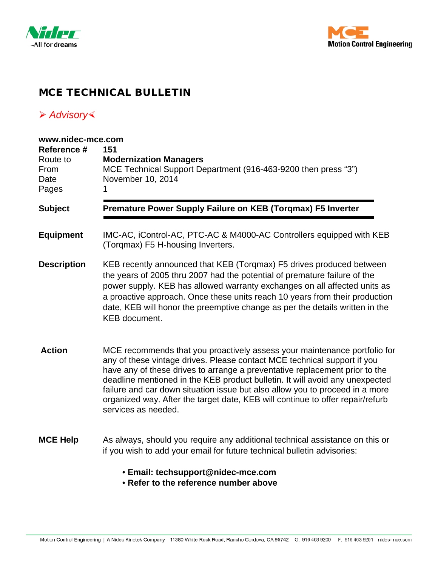



## MCE TECHNICAL BULLETIN

## *Advisory*

| www.nidec-mce.com                                |                                                                                                                                                                                                                                                                                                                                                                                                                                                                                                               |
|--------------------------------------------------|---------------------------------------------------------------------------------------------------------------------------------------------------------------------------------------------------------------------------------------------------------------------------------------------------------------------------------------------------------------------------------------------------------------------------------------------------------------------------------------------------------------|
| Reference #<br>Route to<br>From<br>Date<br>Pages | 151<br><b>Modernization Managers</b><br>MCE Technical Support Department (916-463-9200 then press "3")<br>November 10, 2014                                                                                                                                                                                                                                                                                                                                                                                   |
| <b>Subject</b>                                   | Premature Power Supply Failure on KEB (Torqmax) F5 Inverter                                                                                                                                                                                                                                                                                                                                                                                                                                                   |
| <b>Equipment</b>                                 | IMC-AC, iControl-AC, PTC-AC & M4000-AC Controllers equipped with KEB<br>(Torgmax) F5 H-housing Inverters.                                                                                                                                                                                                                                                                                                                                                                                                     |
| <b>Description</b>                               | KEB recently announced that KEB (Torqmax) F5 drives produced between<br>the years of 2005 thru 2007 had the potential of premature failure of the<br>power supply. KEB has allowed warranty exchanges on all affected units as<br>a proactive approach. Once these units reach 10 years from their production<br>date, KEB will honor the preemptive change as per the details written in the<br><b>KEB</b> document.                                                                                         |
| <b>Action</b>                                    | MCE recommends that you proactively assess your maintenance portfolio for<br>any of these vintage drives. Please contact MCE technical support if you<br>have any of these drives to arrange a preventative replacement prior to the<br>deadline mentioned in the KEB product bulletin. It will avoid any unexpected<br>failure and car down situation issue but also allow you to proceed in a more<br>organized way. After the target date, KEB will continue to offer repair/refurb<br>services as needed. |
| <b>MCE Help</b>                                  | As always, should you require any additional technical assistance on this or<br>if you wish to add your email for future technical bulletin advisories:                                                                                                                                                                                                                                                                                                                                                       |

- **Email: techsupport@nidec-mce.com**
- **Refer to the reference number above**